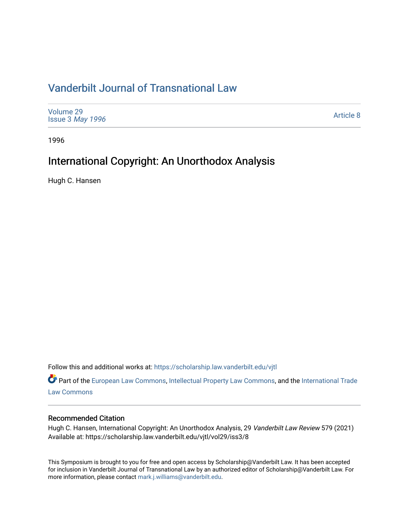# [Vanderbilt Journal of Transnational Law](https://scholarship.law.vanderbilt.edu/vjtl)

| Volume 29<br>Issue 3 May 1996 | Article 8 |
|-------------------------------|-----------|
|-------------------------------|-----------|

1996

# International Copyright: An Unorthodox Analysis

Hugh C. Hansen

Follow this and additional works at: [https://scholarship.law.vanderbilt.edu/vjtl](https://scholarship.law.vanderbilt.edu/vjtl?utm_source=scholarship.law.vanderbilt.edu%2Fvjtl%2Fvol29%2Fiss3%2F8&utm_medium=PDF&utm_campaign=PDFCoverPages) 

Part of the [European Law Commons,](http://network.bepress.com/hgg/discipline/1084?utm_source=scholarship.law.vanderbilt.edu%2Fvjtl%2Fvol29%2Fiss3%2F8&utm_medium=PDF&utm_campaign=PDFCoverPages) [Intellectual Property Law Commons,](http://network.bepress.com/hgg/discipline/896?utm_source=scholarship.law.vanderbilt.edu%2Fvjtl%2Fvol29%2Fiss3%2F8&utm_medium=PDF&utm_campaign=PDFCoverPages) and the [International Trade](http://network.bepress.com/hgg/discipline/848?utm_source=scholarship.law.vanderbilt.edu%2Fvjtl%2Fvol29%2Fiss3%2F8&utm_medium=PDF&utm_campaign=PDFCoverPages) [Law Commons](http://network.bepress.com/hgg/discipline/848?utm_source=scholarship.law.vanderbilt.edu%2Fvjtl%2Fvol29%2Fiss3%2F8&utm_medium=PDF&utm_campaign=PDFCoverPages) 

# Recommended Citation

Hugh C. Hansen, International Copyright: An Unorthodox Analysis, 29 Vanderbilt Law Review 579 (2021) Available at: https://scholarship.law.vanderbilt.edu/vjtl/vol29/iss3/8

This Symposium is brought to you for free and open access by Scholarship@Vanderbilt Law. It has been accepted for inclusion in Vanderbilt Journal of Transnational Law by an authorized editor of Scholarship@Vanderbilt Law. For more information, please contact [mark.j.williams@vanderbilt.edu](mailto:mark.j.williams@vanderbilt.edu).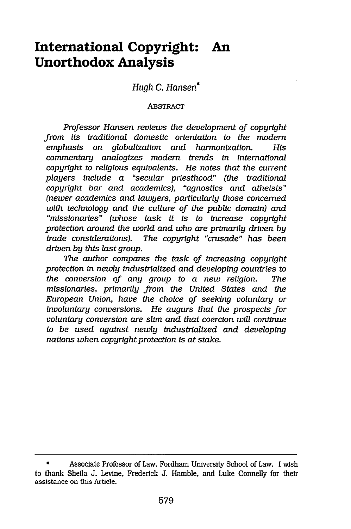# **International Copyright: An Unorthodox Analysis**

# *Hugh C. Hansen\**

### ABSTRACT

*Professor Hansen reviews the development of copyright from its traditional domestic orientation to the modem emphasis on globalization and harmonization. His commentary analogizes modem trends in International copyright to religious equivalents. He notes that the current players include a "secular priesthood" (the traditional copyright bar and academics), "agnostics and atheists" (newer academics and lawyers, particularly those concerned with technology and the culture of the public domain) and "missionaries" (whose task it is to increase copyright protection around the world and who are primarily driven by trade considerations). The copyright "crusade" has been driven by this last group.*

*The author compares the task of Increasing copyright protection In newly industrialized and developing countries to the conversion of any group to a new religion. The missionaries, primarily from the United States and the European Union, have the choice of seeking voluntary or involuntary conversions. He augurs that the prospects for voluntary conversion are slim and that coercion will continue to be used against newly industrialized and developing nations when copyright protection is at stake.*

Associate Professor of Law, Fordham University School of Law. I wish to thank Sheila J. Levine, Frederick J. Hamble, and Luke Connelly for their assistance on this Article.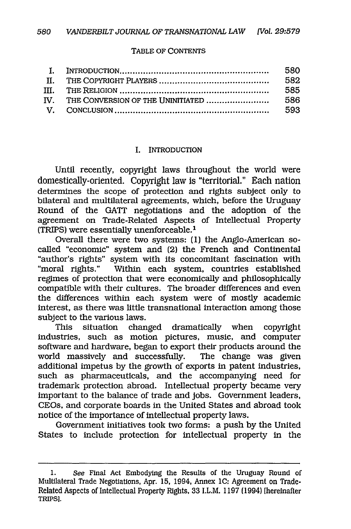#### TABLE OF CONTENTS

|                                       | 580 |
|---------------------------------------|-----|
|                                       | 582 |
|                                       | 585 |
| IV. THE CONVERSION OF THE UNINITIATED | 586 |
|                                       | 593 |

## I. INTRODUCTION

Until recently, copyright laws throughout the world were domestically-oriented. Copyright law is "territorial." Each nation determines the scope of protection and rights subject only to bilateral and multilateral agreements, which, before the Uruguay Round of the GATT negotiations and the adoption of the agreement on Trade-Related Aspects of Intellectual Property (TRIPS) were essentially unenforceable. <sup>1</sup>

Overall there were two systems: (1) the Anglo-American socalled "economic" system and (2) the French and Continental "author's rights" system with its concomitant fascination with "moral rights." Within each system, countries established regimes of protection that were economically and philosophically compatible with their cultures. The broader differences and even the differences within each system were of mostly academic interest, as there was little transnational interaction among those subject to the various laws.

This situation changed dramatically when copyright industries, such as motion pictures, music, and computer software and hardware, began to export their products around the world massively and successfully. The change was given additional impetus by the growth of exports in patent industries, such as pharmaceuticals, and the accompanying need for trademark protection abroad. Intellectual property became very important to the balance of trade and jobs. Government leaders, CEOs, and corporate boards in the United States and abroad took notice of the importance of intellectual property laws.

Government initiatives took two forms: a push by the United States to include protection for intellectual property in the

<sup>1.</sup> *See* Final Act Embodying the Results of the Uruguay Round of Multilateral Trade Negotiations, Apr. 15, 1994, Annex 1C: Agreement on Trade-Related Aspects of Intellectual Property Rights, 33 LL.M. 1197 (1994) [hereinafter TRIPS].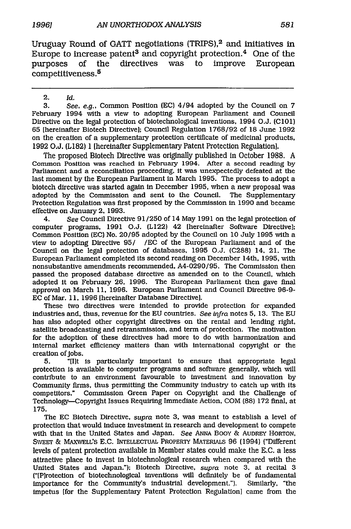Uruguay Round of GATT negotiations (TRIPS),2 and initiatives in Europe to increase patent<sup>3</sup> and copyright protection.<sup>4</sup> One of the purposes of the directives was to improve European competitiveness. <sup>5</sup>

2. *Id.*

3. See. e.g.. Common Position (EC) 4/94 adopted by the Council on 7 February 1994 with a view to adopting European Parliament and Council Directive on the legal protection of biotechnological inventions, 1994 O.J. **(C101)** 65 [hereinafter Biotech Directive]; Council Regulation 1768/92 of 18 June 1992 on the creation of a supplementary protection certificate of medicinal products, 1992 O.J. (L182) 1 [hereinafter Supplementary Patent Protection Regulation].

The proposed Biotech Directive was originally published in October 1988. A Common Position was reached in February 1994. After a second reading by Parliament and a reconciliation proceeding, it was unexpectedly defeated at the last moment by the European Parliament in March 1995. The process to adopt a biotech directive was started again in December 1995, when a new proposal was adopted by the Commission and sent to the Council. The Supplementary Protection Regulation was first proposed by the Commission in 1990 and became effective on January 2. 1993.

4. *See* Council Directive 91/250 of 14 May 1991 on the legal protection of computer programs, 1991 O.J. (L122) 42 [hereinafter Software Directive]; Common Position (EC) No. 20/95 adopted by the Council on 10 July 1995 with a view to adopting Directive 95/ /EC of the European Parliament and of the Council on the legal protection of databases, 1995 O.J. (C288) 14, 21. The European Parliament completed its second reading on December 14th, 1995, with nonsubstantive amendments recommended, A4-0290/95. The Commission then passed the proposed database directive as amended on to the Council, which adopted it on February 26, 1996. The European Parliament then gave final approval on March 11. 1996. European Parliament and Council Directive 96-9- EC of Mar. 11, 1996 [hereinafter Database Directive].

These two directives were intended to provide protection for expanded industries and, thus, revenue for the EU countries. *See Infra* notes 5, 13. The EU has also adopted other copyright directives on the rental and lending right, satellite broadcasting and retransmission, and term of protection. The motivation for the adoption of these directives had more to do with harmonization and Internal market efficiency matters than with international copyright or the creation of jobs.

5. "[Ilt is particularly important to ensure that appropriate legal protection Is available to computer programs and software generally, which will contribute to an environment favourable to investment and innovation by Community firms, thus permitting the Community industry to catch up with its competitors." Commission Green Paper on Copyright and the Challenge of Technology-Copyright Issues Requiring Immediate Action, COM (88) 172 final, at 175.

The **EC** Biotech Directive, *supra* note 3, was meant to establish a level of protection that would induce investment in research and development to compete with that in the United States and Japan. *See* ANNA BooY **&** AUDREY HORTON, SWEET **&** MAXWELL'S **E.C.** INTELLECTUAL PROPERTY MATERIALS 96 (1994) ("Different levels of patent protection available in Member states could make the E.C. a less attractive place to invest in biotechnological research when compared with the United States and Japan."); Biotech Directive, *supra* note **3,** at recital 3 ("[Plrotection of biotechnological inventions will definitely be of fundamental importance for the Community's industrial development."). Similarly, "the impetus [for the Supplementary Patent Protection Regulation] came from the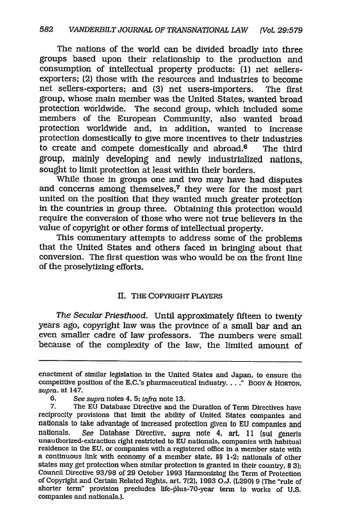The nations of the world can be divided broadly into three groups based upon their relationship to the production and consumption of intellectual property products: (1) net sellersexporters; (2) those with the resources and industries to become net sellers-exporters; and (3) net users-importers. The first group, whose main member was the United States, wanted broad protection worldwide. The second group, which included some members of the European Community, also wanted broad protection worldwide and, in addition, wanted to increase protection domestically to give more incentives to their industries to create and compete domestically and abroad.<sup>6</sup> The third group, mainly developing and newly industrialized nations, sought to limit protection at least within their borders.

While those in groups one and two may have had disputes and concerns among themselves,<sup>7</sup> they were for the most part united on the position that they wanted much greater protection in the countries in group three. Obtaining this protection would require the conversion of those who were not true believers in the value of copyright or other forms of intellectual property.

This commentary attempts to address some of the problems that the United States and others faced in bringing about that conversion. The first question was who would be on the front line of the proselytizing efforts.

## II. THE COPYRIGHT PLAYERS

*The Secular Priesthood.* Until approximately fifteen to twenty years ago, copyright law was the province of a small bar and an even smaller cadre of law professors. The numbers were small because of the complexity of the law, the limited amount of

enactment of similar legislation in the United States and Japan, to ensure the competitive position of the E.C.'s pharmaceutical industry...." Booy & HORTON, *supra,* at 147.

*<sup>6.</sup> See supra* notes 4, 5; *Infra* note 13.

<sup>7.</sup> The EU Database Directive and the Duration of Term Directives have reciprocity provisions that limit the ability of United States companies and nationals to take advantage of increased protection given to EU companies and nationals. *See* Database Directive. *supra* note 4. art. 11 (sui generis unauthorized-extraction right restricted to EU nationals, companies with habitual residence in the EU, or companies with a registered office In a member state with a continuous link with economy of a member state, §§ 1-2; nationals of other states may get protection when similar protection is granted In their country, § **3);** Council Directive 93/98 of 29 October 1993 Harmonizing the Term of Protection of Copyright and Certain Related Rights, art. 7(2), 1993 O.J. (L290) 9 (The "rule of shorter term" provision precludes life-plus-70-year term to works of U.S. companies and nationals.).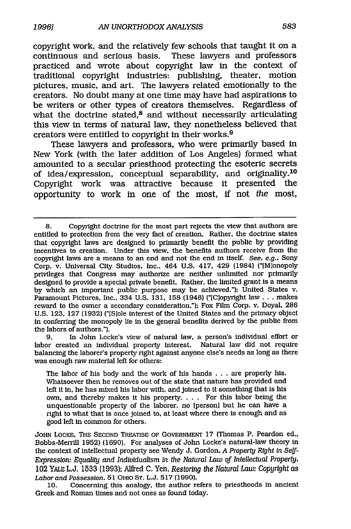copyright work, and the relatively few schools that taught it on a continuous and serious basis. practiced and wrote about copyright law in the context of traditional copyright industries: publishing, theater, motion pictures, music, and art. The lawyers related emotionally to the creators. No doubt many at one time may have had aspirations to be writers or other types of creators themselves. Regardless of what the doctrine stated,<sup>8</sup> and without necessarily articulating this view in terms of natural law, they nonetheless believed that creators were entitled to copyright in their works. <sup>9</sup>

These lawyers and professors, who were primarily based in New York (with the later addition of Los Angeles) formed what amounted to a secular priesthood protecting the esoteric secrets of idea/expression, conceptual separability, and originality.10 Copyright work was attractive because it presented the opportunity to work in one of the most, if not *the* most,

9. In John Locke's view of natural law, a person's individual effort or labor created an individual property interest. Natural law did not require balancing the laborer's property right against anyone else's needs as long as there was enough raw material left for others:

The labor of his body and the work of his hands .. . are properly his. Whatsoever then he removes out of the state that nature has provided and left it *in,* he has mixed his labor with, and joined to it something that is his own, and thereby makes it his property. . . . For this labor being the unquestionable property of the laborer, no [person] but he can have a right to what that is once joined to. at least where there is enough and as good left in common for others.

**JOHN** LOCKE, THE **SECOND** TREATISE OF **GOVERNMENT** 17 (Thomas P. Peardon ed., Bobbs-Merrill 1952) (1690). For analyses of John Locke's natural-law theory in the context of intellectual property see Wendy J. Gordon, *A Property Right in Self-Expression: Equality and Individualism In the Natural Law of Intellectual Property,* 102 YALE L.J. 1533 (1993); Alfred C. Yen, *Restoring the Natural Law: Copyright as Labor and Possession,* 51 OHIO **ST. L.J. 517** (1990).

10. Concerning this analogy, the author refers to priesthoods in ancient Greek and Roman times and not ones as found today.

**<sup>8.</sup>** Copyright doctrine for the most part rejects the view that authors are entitled to protection from the very fact of creation. Rather, the doctrine states that copyright laws are designed to primarily benefit the public by providing incentives to creation. Under this view, the benefits authors receive from the copyright laws are a means to an end and not the end in itself. *See. e.g.,* Sony Corp. v. Universal City Studios, Inc., 464 U.S. 417, 429 (1984) ("[Mlonopoly privileges that Congress may authorize are neither unlimited nor primarily designed to provide a special private benefit. Rather, the limited grant Is a means by which an important public purpose may be achieved."); United States v. Paramount Pictures, Inc., 334 U.S. 131, 158 (1948) ("[Clopyright law... makes reward to the owner a secondary consideration."); Fox Film Corp. v. Doyal, 286 U.S. 123, 127 (1932) ("[S]ole interest of the United States and the primary object in conferring the monopoly lie in the general benefits derived by the public from the labors of authors.").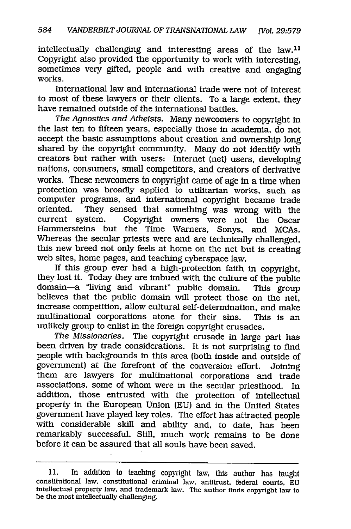intellectually challenging and interesting areas of the law.<sup>11</sup> Copyright also provided the opportunity to work with interesting, sometimes very gifted, people and with creative and engaging works.

International law and international trade were not of interest to most of these lawyers or their clients. To a large extent, they have remained outside of the international battles.

*The Agnostics and Atheists.* Many newcomers to copyright in the last ten to fifteen years, especially those in academia, do not accept the basic assumptions about creation and ownership long shared by the copyright community. Many do not identify with creators but rather with users: Internet (net) users, developing nations, consumers, small competitors, and creators of derivative works. These newcomers to copyright came of age in a time when protection was broadly applied to utilitarian works, such as computer programs, and international copyright became trade oriented. They sensed that something was wrong with the Copyright owners were not the Oscar Hammersteins but the Time Warners, Sonys, and MCAs. Whereas the secular priests were and are technically challenged, this new breed not only feels at home on the net but is creating web sites, home pages, and teaching cyberspace law.

If this group ever had a high-protection faith in copyright, they lost it. Today they are imbued with the culture of the public domain-a "living and vibrant" public domain. This group believes that the public domain will protect those on the net, increase competition, allow cultural self-determination, and make multinational corporations atone for their sins. This is an unlikely group to enlist in the foreign copyright crusades.

*The Missionaries.* The copyright crusade in large part has been driven by trade considerations. It is not surprising to find people with backgrounds in this area (both inside and outside of government) at the forefront of the conversion effort. Joining them are lawyers for multinational corporations and trade associations, some of whom were in the secular priesthood. In addition, those entrusted with the protection of intellectual property in the European Union (EU) and in the United States government have played key roles. The effort has attracted people with considerable skill and ability and, to date, has been remarkably successful. Still, much work remains to be done before it can be assured that all souls have been saved.

<sup>11.</sup> In addition to teaching copyright law, this author has taught constitutional law, constitutional criminal law. antitrust, federal courts, **EU** intellectual property law, and trademark law. The author finds copyright law to be the most intellectually challenging.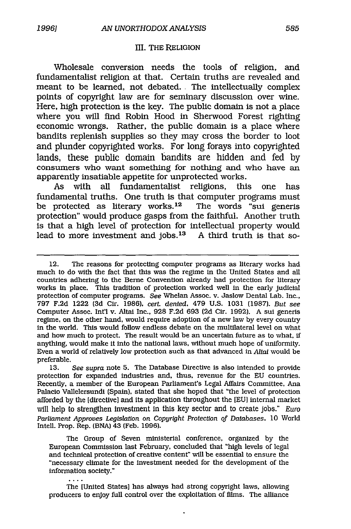#### III. THE RELIGION

Wholesale conversion needs the tools of religion, and fundamentalist religion at that. Certain truths are revealed and meant to be learned, not debated. The intellectually complex points of copyright law are for seminary discussion over wine. Here, high protection is the key. The public domain is not a place where you will find Robin Hood in Sherwood Forest righting economic wrongs. Rather, the public domain is a place where bandits replenish supplies so they may cross the border to loot and plunder copyrighted works. For long forays into copyrighted lands, these public domain bandits are hidden and fed **by** consumers who want something for nothing and who have an apparently insatiable appetite for unprotected works.

As with all fundamentalist religions, this one has fundamental truths. One truth is that computer programs must be protected as literary works.<sup>12</sup> The words "sui generis protection" would produce gasps from the faithful. Another truth is that a high level of protection for intellectual property would lead to more investment and jobs.<sup>13</sup> A third truth is that so-

13. *See supra* note 5. The Database Directive is also intended to provide protection for expanded industries and, thus, revenue for the EU countries. Recently, a member of the European Parliament's Legal Affairs Committee, Ana Palacio Vallelersundi (Spain), stated that she hoped that "the level of protection afforded by the [directive] and its application throughout the [EU] internal market will help to strengthen investment in this key sector and to create jobs." Euro *Parliament Approves Legislation on Copyright Protection of Databases.* 10 World Intell. Prop. Rep. (BNA) 43 (Feb. 1996).

The Group of Seven ministerial conference, organized by the European Commission last February, concluded that "high levels of legal and technical protection of creative content" will be essential to ensure the .necessary climate for the investment needed for the development of the information society."

The [United States] has always had strong copyright laws, allowing producers to enjoy full control over the exploitation of films. The alliance

. . . .

<sup>12.</sup> The reasons for protecting computer programs as literary works had much to do with the fact that this was the regime in the United States and all countries adhering to the Berne Convention already had protection for literary works in place. This tradition of protection worked well in the early judicial protection of computer programs. See Whelan Assoc. v. Jaslow Dental Lab. Inc., 797 F.2d 1222 (3d Cir. 1986), *cert. denied,* 479 U.S. 1031 (1987). *But see* Computer Assoc. Int'l v. Altai Inc., 928 F.2d 693 (2d Cir. 1992). A sui generis regime, on the other hand, would require adoption of a new law by every country in the world. This would follow endless debate on the multilateral level on what and how much to protect. The result would be an uncertain future as to what, if anything, would make it into the national laws, without much hope of uniformity. Even a world of relatively low protection such as that advanced in *Altai* would be preferable.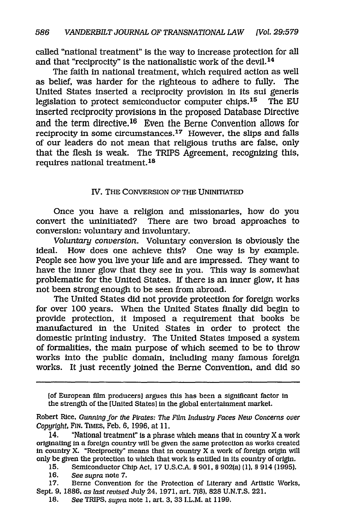called "national treatment" is the way to increase protection for all and that "reciprocity" is the nationalistic work of the devil.<sup>14</sup>

The faith in national treatment, which required action as well as belief, was harder for the righteous to adhere to fully. The United States inserted a reciprocity provision in its sui generis legislation to protect semiconductor computer chips.<sup>15</sup> The EU inserted reciprocity provisions in the proposed Database Directive and the term directive. 16 Even the Berne Convention allows for reciprocity in some circumstances.<sup>17</sup> However, the slips and falls of our leaders do not mean that religious truths are false, only that the flesh is weak. The TRIPS Agreement, recognizing this, requires national treatment.18

## IV. THE CONVERSION OF THE UNINITIATED

Once you have a religion and missionaries, how do you convert the uninitiated? There are two broad approaches to conversion: voluntary and involuntary.

*Voluntary conversion.* Voluntary conversion Is obviously the ideal. How does one achieve this? One way is by example. People see how you live your life and are impressed. They want to have the inner glow that they see in you. This way is somewhat problematic for the United States. If there is an inner glow, it has not been strong enough to be seen from abroad.

The United States did not provide protection for foreign works for over 100 years. When the United States finally did begin to provide protection, it imposed a requirement that books be manufactured in the United States in order to protect the domestic printing industry. The United States imposed a system of formalities, the main purpose of which seemed to be to throw works into the public domain, including many famous foreign works. It just recently joined the Berne Convention, and did so

[of European film producers] argues this has been a significant factor In the strength of the [United States] in the global entertainment market.

15. Semiconductor Chip Act, 17 U.S.C.A. § 901, § 902(a) (1), § 914 (1995).

16. *See supra* note 7.

17. Berne Convention for the Protection of Literary and Artistic Works, Sept. *9,* 1886, *as last revised* July 24, 1971, art. 7(8), 828 U.N.T.S. 221.

18. *See* TRIPS, *supra* note **1,** art. **3.** 33 I.L.M. at 1199.

Robert Rice, *Gunning for the Pirates: The Film Industry Faces New Concerns over Copyright,* FIN. TIMES, Feb. 6, 1996, at 11.

<sup>14. &</sup>quot;National treatment" is a phrase which means that in country X a work originating in a foreign country will be given the same protection as works created in country X. "Reciprocity" means that in country X a work of foreign origin will only be given the protection to which that work is entitled in its country of origin.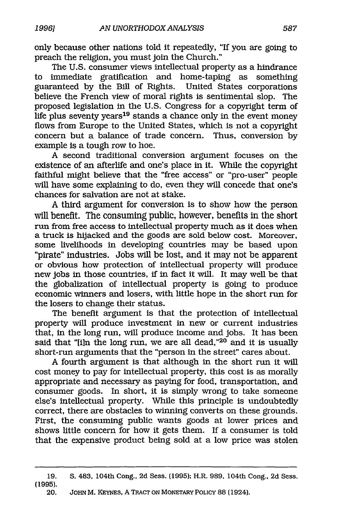only because other nations told it repeatedly, "If you are going to preach the religion, you must join the Church."

The U.S. consumer views intellectual property as a hindrance to immediate gratification and home-taping as something guaranteed by the Bill of Rights. United States corporations believe the French view of moral rights is sentimental slop. The proposed legislation in the U.S. Congress for a copyright term of life plus seventy years<sup>19</sup> stands a chance only in the event money flows from Europe to the United States, which is not a copyright concern but a balance of trade concern. Thus, conversion by example is a tough row to hoe.

A second traditional conversion argument focuses on the existence of an afterlife and one's place in it. While the copyright faithful might believe that the "free access" or "pro-user" people will have some explaining to do, even they will concede that one's chances for salvation are not at stake.

A third argument for conversion is to show how the person will benefit. The consuming public, however, benefits in the short run from free access to intellectual property much as it does when a truck is hijacked and the goods are sold below cost. Moreover, some livelihoods in developing countries may be based upon "pirate" industries. Jobs will be lost, and it may not be apparent or obvious how protection of intellectual property will produce new jobs in those countries, if in fact it will. It may well be that the globalization of intellectual property is going to produce economic winners and losers, with little hope in the short run for the losers to change their status.

The benefit argument is that the protection of intellectual property will produce investment in new or current industries that, in the long run, will produce income and jobs. It has been said that "[i]n the long run, we are all dead,"<sup>20</sup> and it is usually short-run arguments that the "person in the street" cares about.

A fourth argument is that although in the short run it will cost money to pay for intellectual property, this cost is as morally appropriate and necessary as paying for food, transportation, and consumer goods. In short, it is simply wrong to take someone else's intellectual property. While this principle is undoubtedly correct, there are obstacles to winning converts on these grounds. First, the consuming public wants goods at lower prices and shows little concern for how it gets them. If a consumer is told that the expensive product being sold at a low price was stolen

<sup>19.</sup> **S.** 483, 104th Cong., 2d Sess. (1995); H.R. 989, 104th Cong., 2d Sess. (1995).

<sup>20.</sup> JOHN M. KEYNES, A TRACT ON MONETARY POLICY 88 (1924).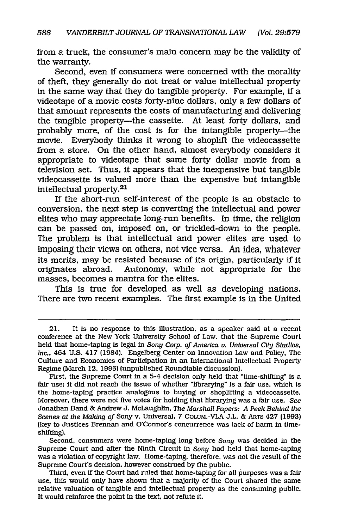from a truck, the consumer's main concern may be the validity of the warranty.

Second, even if consumers were concerned with the morality of theft, they generally do not treat or value intellectual property in the same way that they do tangible property. For example, if a videotape of a movie costs forty-nine dollars, only a few dollars of that amount represents the costs of manufacturing and delivering the tangible property—the cassette. At least forty dollars, and probably more, of the cost is for the intangible property-the movie. Everybody thinks it wrong to shoplift the videocassette from a store. On the other hand, almost everybody considers it appropriate to videotape that same forty dollar movie from a television set. Thus, it appears that the inexpensive but tangible videocassette is valued more than the expensive but intangible intellectual property.<sup>21</sup>

If the short-run self-interest of the people is an obstacle to conversion, the next step is converting the intellectual and power elites who may appreciate long-run benefits. In time, the religion can be passed on, imposed on, or trickled-down to the people. The problem is that intellectual and power elites are used to imposing their views on others, not vice versa. An idea, whatever its merits, may be resisted because of its origin, particularly if it originates abroad. Autonomy, while not appropriate for the masses, becomes a mantra for the elites.

This is true for developed as well as developing nations. There are two recent examples. The first example is in the United

Second, consumers were home-taping long before *Sony* was decided in the Supreme Court and after the Ninth Circuit in *Sony* had held that home-taping was a violation of copyright law. Home-taping, therefore, was not the result of the Supreme Court's decision, however construed by the public.

<sup>21.</sup> It is no response to this illustration, as a speaker said at a recent conference at the New York University School of Law, that the Supreme Court held that home-taping is legal in *Sony Corp. of America v. Universal City Studios, Inc.,* 464 U.S. 417 (1984). Engelberg Center on Innovation Law and Policy, The Culture and Economics of Participation in an International Intellectual Property Regime (March 12, 1996) (unpublished Roundtable discussion).

First, the Supreme Court in a 5-4 decision only held that "time-shifting" is a fair use; it did not reach the issue of whether "librarying" is a fair use, which is the home-taping practice analogous to buying or shoplifting a videocassette. Moreover. there were not five votes for holding that librarying was a fair use. *See* Jonathan Band & Andrew J. McLaughlin, *The Marshall Papers: A Peek Behind the Scenes at the Making of* Sony v. Universal, 7 COLUM.-VLA J.L. & ARTs 427 (1993) (key to Justices Brennan and O'Connor's concurrence was lack of harm in timeshifting).

Third, even if the Court had ruled that home-taping for all purposes was a fair use, this would only have shown that a majority of the Court shared the same relative valuation of tangible and intellectual property as the consuming public. It would reinforce the point in the text, not refute it.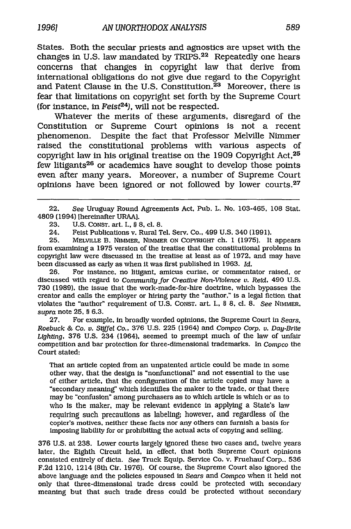States. Both the secular priests and agnostics are upset with the changes in U.S. law mandated by TRIPS.<sup>22</sup> Repeatedly one hears concerns that changes in copyright law that derive from international obligations do not give due regard to the Copyright and Patent Clause in the U.S. Constitution.<sup>23</sup> Moreover, there is fear that limitations on copyright set forth by the Supreme Court (for instance, in *Feist2 <sup>4</sup> ),* will not be respected.

Whatever the merits of these arguments, disregard of the Constitution or Supreme Court opinions is not a recent phenomenon. Despite the fact that Professor Melville Nimmer raised the constitutional problems with various aspects of copyright law in his original treatise on the 1909 Copyright Act, <sup>25</sup> few litigants 26 or academics have sought to develop those points even after many years. Moreover, a number of Supreme Court opinions have been ignored or not followed by lower courts.<sup>27</sup>

24. Feist Publications v. Rural Tel. Serv. Co., 499 U.S. 340 (1991).

25. MELVILLE B. NIMMER, NIMMER ON COPYRIGHT ch. **1** (1975). It appears from examining a 1975 version of the treatise that the constitutional problems in copyright law were discussed in the treatise at least as of 1972, and may have been discussed as early as when it was first published in 1963. *Id.*

26. For instance, no litigant, amicus curiae, or commentator raised, or discussed with regard to *Community for Creative Non-Violence v. Reid,* 490 U.S. 730 (1989), the issue that the work-made-for-hire doctrine, which bypasses the creator and calls the employer or hiring party the "author," is a legal fiction that violates the "author" requirement of U.S. CONST. art. I., § **8,** cl. 8. *See* NIMMER, *supra* note 25, § 6.3.

27. For example, in broadly worded opinions, the Supreme Court in *Sears, Roebuck & Co. v. Stff el Co.,* 376 U.S. 225 (1964) and *Compco Corp. v. Day-Brite Lighting.* 376 U.S. 234 (1964), seemed to preempt much of the law of unfair competition and bar protection for three-dimensional trademarks. In *Compco* the Court stated:

That an article copied from an unpatented article could be made in some other way, that the design is "nonfunctional" and not essential to the use of either article, that the configuration of the article copied may have a "secondary meaning" which identifies the maker to the trade, or that there may be "confusion" among purchasers as to which article is which or as to who is the maker, may be relevant evidence in applying a State's law requiring such precautions as labeling; however, and regardless of the copier's motives, neither these facts nor any others can furnish a basis for imposing liability for or prohibiting the actual acts of copying and selling.

376 U.S. at 238. Lower courts largely ignored these two cases and, twelve years later, the Eighth Circuit held, in effect, that both Supreme Court opinions consisted entirely of dicta. *See* Truck Equip. Service Co. v. Fruehauf Corp.. 536 F.2d 1210, 1214 (8th Cir. 1976). Of course, the Supreme Court also ignored the above language and the policies espoused in *Sears* and *Compco* when it held not only that three-dimensional trade dress could be protected with secondary meaning but that such trade dress could be protected without secondary

<sup>22.</sup> *See* Uruguay Round Agreements Act, Pub. L. No. 103-465, 108 Stat. 4809 (1994) [hereinafter URAA].

<sup>23.</sup> U.S. CONST. art. **I.,** § **8,** cl. **8.**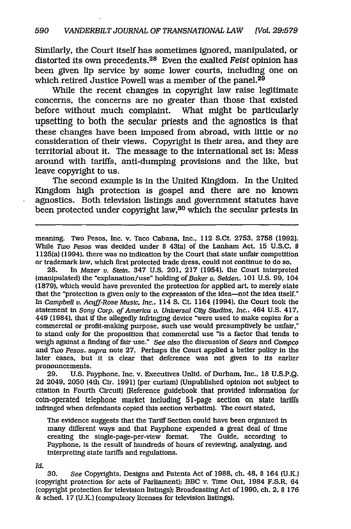Similarly, the Court itself has sometimes ignored, manipulated, or distorted its own precedents. 28 Even the exalted *Feist* opinion has been given lip service by some lower courts, including one on which retired Justice Powell was a member of the panel.<sup>29</sup>

While the recent changes in copyright law raise legitimate concerns, the concerns are no greater than those that existed before without much complaint. What might be particularly upsetting to both the secular priests and the agnostics is that these changes have been imposed from abroad, with little or no consideration of their views. Copyright is their area, and they are territorial about it. The message to the international set is: Mess around with tariffs, anti-dumping provisions and the like, but leave copyright to us.

The second example is in the United Kingdom. In the United Kingdom high protection is gospel and there are no known agnostics. Both television listings and government statutes have been protected under copyright law,30 which the secular priests in

meaning. Two Pesos, Inc. v. Taco Cabana, Inc., 112 S.Ct. 2753, 2758 (1992). While *Two Pesos* was decided under § 43(a) of the Lanham Act, 15 U.S.C. § 1125(a) (1994), there was no indication by the Court that state unfair competition or trademark law, which first protected trade dress, could not continue to do so.

28. In *Mazer v. Stein,* 347 U.S. 201, 217 (1954), the Court interpreted (manipulated) the "explanation/use" holding of *Baker v. Selden,* 101 U.S. *99,* 104 (1879), which would have prevented the protection for applied art, to merely state that the "protection is given only to the expression of the idea-not the idea itself." In *Campbell v. Acuff-Rose Music, Inc.,* 114 **S.** Ct. 1164 (1994). the Court took the statement in *Sony Corp. of America v. Universal City Studios, Inc..* 464 U.S. 417, 449 (1984), that if the allegedly infringing device "were used to make copies for a commercial or profit-making purpose, such use would presumptively **be** unfair," to stand only for the proposition that commercial use "is a factor that tends to weigh against a finding of fair use." *See also* the discussion of *Sears and Compco* and *two Pesos. supra* note 27. Perhaps the Court applied a better policy in the later cases, but it is clear that deference was not given to its earlier pronouncements.

29. U.S. Payphone, Inc. v. Executives Unltd. of Durham, Inc.. 18 U.S.P.Q. 2d 2049, 2050 (4th Cir. 1991) (per curiam) (Unpublished opinion not subject to citation in Fourth Circuit) (Reference guidebook that provided information for coin-operated telephone market including 51-page section on state tariffs infringed when defendants copied this section verbatim). The court stated,

The evidence suggests that the Tariff Section could have been organized in many different ways and that Payphone expended a great deal of time creating the single-page-per-view format. The Guide, according to Payphone, is the result of hundreds of hours of reviewing, analyzing. and interpreting state tariffs and regulations.

*Id.*

30. *See* Copyrights, Designs and Patents Act of 1988, ch. 48. § 164 (U.K.) (copyright protection for acts of Parliament); BBC v. Time Out, 1984 F.S.R. 64 (copyright protection for television listings); Broadcasting Act of 1990, ch. 2. § 176 & sched. 17 (U.K.) (compulsory licenses for television listings).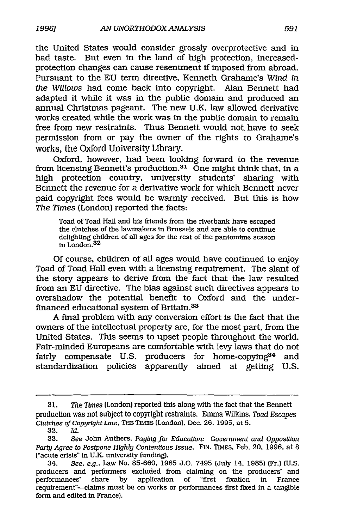the United States would consider grossly overprotective and in bad taste. But even in the land of high protection, increasedprotection changes can cause resentment if imposed from abroad. Pursuant to the EU term directive, Kenneth Grahame's *Wind in the Willows* had come back into copyright. Alan Bennett had adapted it while it was in the public domain and produced an annual Christmas pageant. The new U.K. law allowed derivative works created while the work was in the public domain to remain free from new restraints. Thus Bennett would not. have to seek permission from or pay the owner of the rights to Grahame's works, the Oxford University Library.

Oxford, however, had been looking forward to the revenue from licensing Bennett's production. $31$  One might think that, in a high protection country, university students' sharing with Bennett the revenue for a derivative work for which Bennett never paid copyright fees would be warmly received. But this is how *The Times* (London) reported the facts:

Toad of Toad Hall and his friends from the riverbank have escaped the clutches of the lawmakers in Brussels and are able to continue delighting children of all ages for the rest of the pantomime season in London.<sup>32</sup>

Of course, children of all ages would have continued to enjoy Toad of Toad Hall even with a licensing requirement. The slant of the story appears to derive from the fact that the law resulted from an EU directive. The bias against such directives appears to overshadow the potential benefit to Oxford and the underfinanced educational system of Britain.<sup>33</sup>

A final problem with any conversion effort is the fact that the owners of the intellectual property are, for the most part, from the United States. This seems to upset people throughout the world. Fair-minded Europeans are comfortable with levy laws that do not fairly compensate U.S. producers for home-copying<sup>34</sup> and standardization policies apparently aimed at getting U.S.

**<sup>31.</sup>** *The Times* (London) reported this along with the fact that the Bennett production was not subject to copyright restraints. Emma Wilkins, Toad *Escapes Clutches of Copyright Law,* **THE** TIMES (London), Dec. **26.** 1995, at 5.

<sup>32.</sup> *Id.*

<sup>33.</sup> See John Authers, *Paying for Education: Government and Opposition Party Agree to Postpone Highly Contentious Issue,* **FIN.** TIMES, Feb. 20, 1996, at 8 ("acute crisis" in U.K. university funding).

<sup>34.</sup> *See, e.g.,* Law No. 85-660, 1985 J.O. 7495 (July 14, 1985) (Fr.) (U.S. producers and performers excluded from claiming on the producers' and performances' share by application of "first fixation in France requirement"-claims must be on works or performances first fixed in a tangible form and edited in France).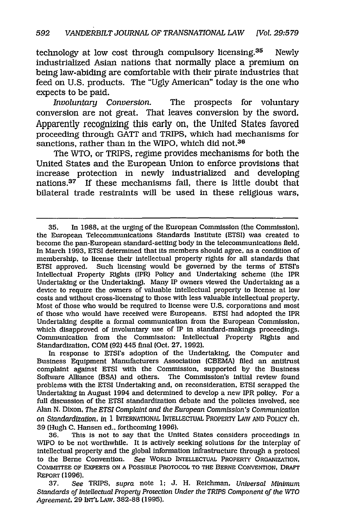technology at low cost through compulsory licensing.<sup>35</sup> Newly industrialized Asian nations that normally place a premium on being law-abiding are comfortable with their pirate industries that feed on U.S. products. The "Ugly American" today is the one who expects to be paid.

*Involuntary Conversion.* The prospects for voluntary conversion are not great. That leaves conversion **by** the sword. Apparently recognizing this early on, the United States favored proceeding through GATT and TRIPS, which had mechanisms for sanctions, rather than in the WIPO, which did not.<sup>36</sup>

The WTO, or TRIPS, regime provides mechanisms for both the United States and the European Union to enforce provisions that increase protection in newly industrialized and developing nations.<sup>37</sup> If these mechanisms fail, there is little doubt that bilateral trade restraints will be used in these religious wars,

In response to ETSI's adoption of the Undertaking, the Computer and Business Equipment Manufacturers Association (CBEMA) filed an antitrust complaint against ETSI with the Commission, supported by the Business Software Alliance (BSA) and others. The Commission's Initial review found problems with the ETSI Undertaking and, on reconsideration, ETSI scrapped the Undertaking in August 1994 and determined to develop a new IPR policy. For a full discussion of the ETSI standardization debate and the policies involved, see Alan N. Dixon, *The ETSI Complaint and the European Commission's Communication on Standardization, In* **I** INTERNATIONAL INTELLECTUAL PROPERTY LAW AND POLICY ch. 39 (Hugh C. Hansen ed.. forthcoming 1996).

36. This Is not to say that the United States considers proceedings in WIPO to be not worthwhile. It is actively seeking solutions for the interplay of intellectual property and the global information infrastructure through a protocol to the Berne Convention. *See* WORLD INTELLECTUAL PROPERTY **ORGANIZATION.** COMMiTEE OF EXPERTS **ON A POSSIBLE** PROTOCOL TO THE BERNE **CONVENTION,** DRAFT REPORT (1996).

37. *See* TRIPS, *supra* note 1; J. H. Reichman, *Universal Minimum Standards of Intellectual Property Protection Under the TRIPS Component of the WTO Agreement,* 29 **INT'L LAw.** 382-88 (1995).

<sup>35.</sup> In 1988, at the urging of the European Commission (the Commission), the European Telecommunications Standards Institute (ETSI) was created to become the pan-European standard-setting body in the telecommunications field. In March 1993, ETSI determined that its members should agree, as a condition of membership, to license their intellectual property rights for all standards that ETSI approved. Such licensing would be governed by the terms of ETSI's Intellectual Property Rights (IPR) Policy and Undertaking scheme (the IPR Undertaking or the Undertaking). Many IP owners viewed the Undertaking as a device to require the owners of valuable intellectual property to license at low costs and without cross-licensing to those with less valuable intellectual property. Most of those who would be required to license were U.S. corporations and most of those who would have received were Europeans. ETSI had adopted the IPR Undertaking despite a formal communication from the European Commission. which disapproved of involuntary use of IP in standard-makings proceedings. Communication from the Commission: Intellectual Property Rights and Standardization, COM (92) 445 final (Oct. **27,** 1992).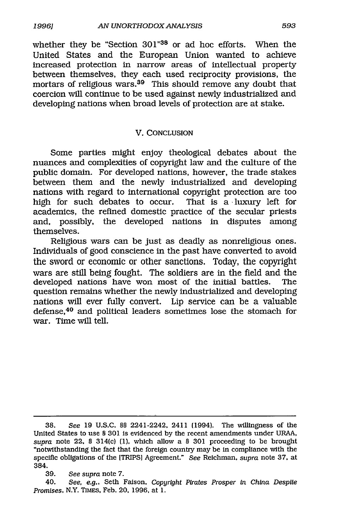whether they be "Section 301"<sup>38</sup> or ad hoc efforts. When the United States and the European Union wanted to achieve increased protection in narrow areas of intellectual property between themselves, they each used reciprocity provisions, the mortars of religious wars.<sup>39</sup> This should remove any doubt that coercion will continue to be used against newly industrialized and developing nations when broad levels of protection are at stake.

## V. CONCLUSION

Some parties might enjoy theological debates about the nuances and complexities of copyright law and the culture of the public domain. For developed nations, however, the trade stakes between them and the newly industrialized and developing nations with regard to international copyright protection are too high for such debates to occur. That is a luxury left for academics, the refined domestic practice of the secular priests and, possibly, the developed nations in disputes among themselves.

Religious wars can be just as deadly as nonreligious ones. Individuals of good conscience in the past have converted to avoid the sword or economic or other sanctions. Today, the copyright wars are still being fought. The soldiers are in the field and the developed nations have won most of the initial battles. The question remains whether the newly industrialized and developing nations will ever fully convert. Lip service can be a valuable defense, 40 and political leaders sometimes lose the stomach for war. Time will tell.

39. *See supra* note 7.

<sup>38.</sup> *See* 19 U.S.C. §§ 2241-2242, 2411 (1994). The willingness of the United States to use § 301 is evidenced by the recent amendments under URAA, *supra* note *22,* § 314(c) (1). which allow a § 301 proceeding to be brought "notwithstanding the fact that the foreign country may be in compliance with the specific obligations of the [TRIPS] Agreement." *See* Reichman, *supra* note **37.** at 384.

<sup>40.</sup> *See, e.g.,* Seth Faison, *Copyright Pirates Prosper in China Despite Promises,* N.Y. TIMES, Feb. 20, 1996, at 1.